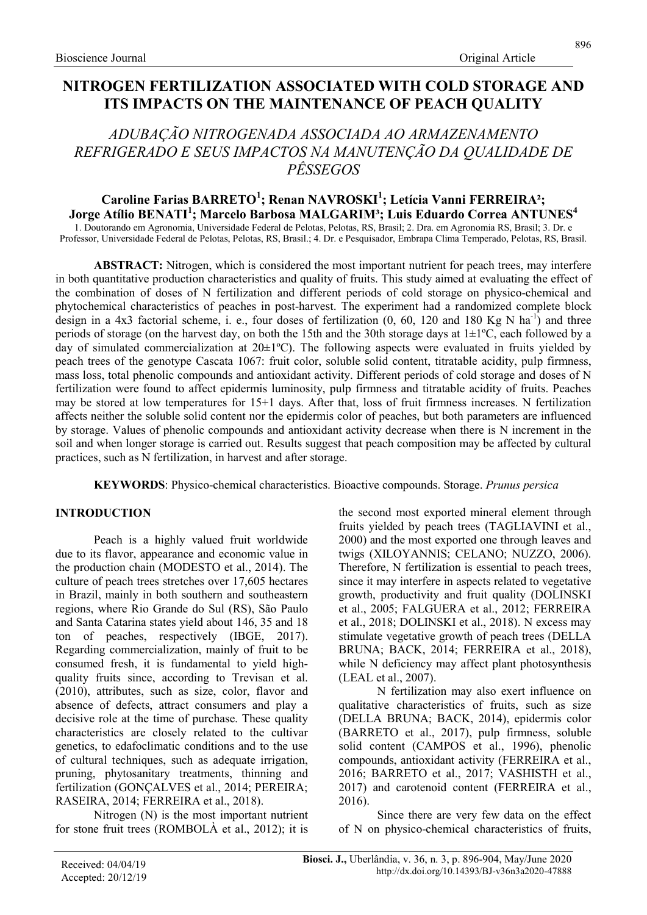# ADUBAÇÃO NITROGENADA ASSOCIADA AO ARMAZENAMENTO REFRIGERADO E SEUS IMPACTOS NA MANUTENÇÃO DA QUALIDADE DE PÊSSEGOS

## Caroline Farias BARRETO<sup>1</sup>; Renan NAVROSKI<sup>1</sup>; Letícia Vanni FERREIRA<sup>2</sup>; Jorge Atílio BENATI $^1$ ; Marcelo Barbosa MALGARIM $^3$ ; Luis Eduardo Correa ANTUNES $^4$

1. Doutorando em Agronomia, Universidade Federal de Pelotas, Pelotas, RS, Brasil; 2. Dra. em Agronomia RS, Brasil; 3. Dr. e Professor, Universidade Federal de Pelotas, Pelotas, RS, Brasil.; 4. Dr. e Pesquisador, Embrapa Clima Temperado, Pelotas, RS, Brasil.

ABSTRACT: Nitrogen, which is considered the most important nutrient for peach trees, may interfere in both quantitative production characteristics and quality of fruits. This study aimed at evaluating the effect of the combination of doses of N fertilization and different periods of cold storage on physico-chemical and phytochemical characteristics of peaches in post-harvest. The experiment had a randomized complete block design in a 4x3 factorial scheme, i. e., four doses of fertilization  $(0, 60, 120, 120, 180, 180, 180, 180)$  and three periods of storage (on the harvest day, on both the 15th and the 30th storage days at 1±1ºC, each followed by a day of simulated commercialization at  $20\pm1\text{°C}$ . The following aspects were evaluated in fruits yielded by peach trees of the genotype Cascata 1067: fruit color, soluble solid content, titratable acidity, pulp firmness, mass loss, total phenolic compounds and antioxidant activity. Different periods of cold storage and doses of N fertilization were found to affect epidermis luminosity, pulp firmness and titratable acidity of fruits. Peaches may be stored at low temperatures for 15+1 days. After that, loss of fruit firmness increases. N fertilization affects neither the soluble solid content nor the epidermis color of peaches, but both parameters are influenced by storage. Values of phenolic compounds and antioxidant activity decrease when there is N increment in the soil and when longer storage is carried out. Results suggest that peach composition may be affected by cultural practices, such as N fertilization, in harvest and after storage.

KEYWORDS: Physico-chemical characteristics. Bioactive compounds. Storage. Prunus persica

## INTRODUCTION

Peach is a highly valued fruit worldwide due to its flavor, appearance and economic value in the production chain (MODESTO et al., 2014). The culture of peach trees stretches over 17,605 hectares in Brazil, mainly in both southern and southeastern regions, where Rio Grande do Sul (RS), São Paulo and Santa Catarina states yield about 146, 35 and 18 ton of peaches, respectively (IBGE, 2017). Regarding commercialization, mainly of fruit to be consumed fresh, it is fundamental to yield highquality fruits since, according to Trevisan et al. (2010), attributes, such as size, color, flavor and absence of defects, attract consumers and play a decisive role at the time of purchase. These quality characteristics are closely related to the cultivar genetics, to edafoclimatic conditions and to the use of cultural techniques, such as adequate irrigation, pruning, phytosanitary treatments, thinning and fertilization (GONÇALVES et al., 2014; PEREIRA; RASEIRA, 2014; FERREIRA et al., 2018).

Nitrogen (N) is the most important nutrient for stone fruit trees (ROMBOLÀ et al., 2012); it is the second most exported mineral element through fruits yielded by peach trees (TAGLIAVINI et al., 2000) and the most exported one through leaves and twigs (XILOYANNIS; CELANO; NUZZO, 2006). Therefore, N fertilization is essential to peach trees, since it may interfere in aspects related to vegetative growth, productivity and fruit quality (DOLINSKI et al., 2005; FALGUERA et al., 2012; FERREIRA et al., 2018; DOLINSKI et al., 2018). N excess may stimulate vegetative growth of peach trees (DELLA BRUNA; BACK, 2014; FERREIRA et al., 2018), while N deficiency may affect plant photosynthesis (LEAL et al., 2007).

N fertilization may also exert influence on qualitative characteristics of fruits, such as size (DELLA BRUNA; BACK, 2014), epidermis color (BARRETO et al., 2017), pulp firmness, soluble solid content (CAMPOS et al., 1996), phenolic compounds, antioxidant activity (FERREIRA et al., 2016; BARRETO et al., 2017; VASHISTH et al., 2017) and carotenoid content (FERREIRA et al., 2016).

Since there are very few data on the effect of N on physico-chemical characteristics of fruits,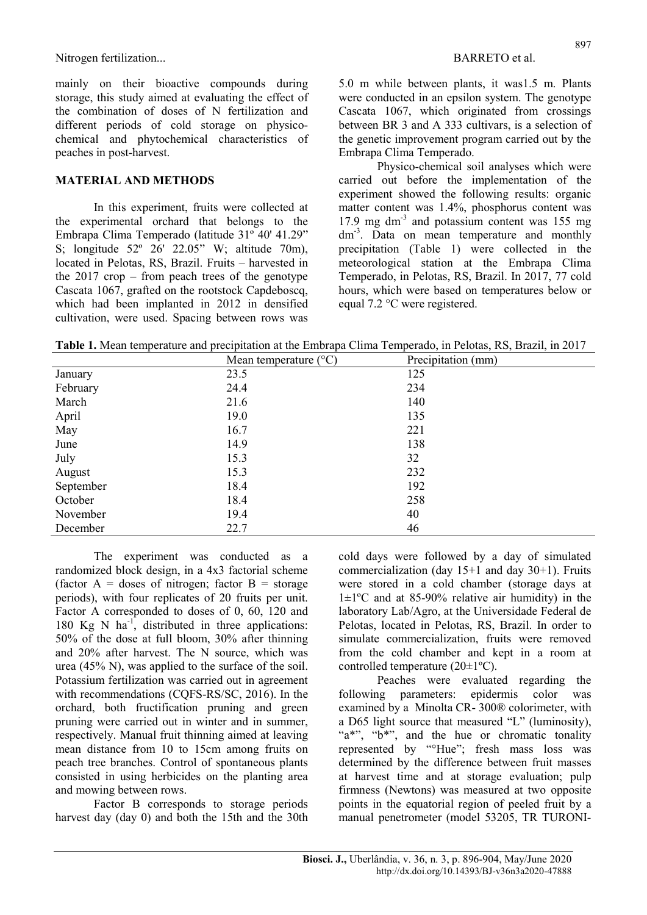mainly on their bioactive compounds during storage, this study aimed at evaluating the effect of the combination of doses of N fertilization and different periods of cold storage on physicochemical and phytochemical characteristics of peaches in post-harvest.

### MATERIAL AND METHODS

In this experiment, fruits were collected at the experimental orchard that belongs to the Embrapa Clima Temperado (latitude 31º 40' 41.29" S; longitude 52º 26' 22.05" W; altitude 70m), located in Pelotas, RS, Brazil. Fruits – harvested in the 2017 crop – from peach trees of the genotype Cascata 1067, grafted on the rootstock Capdeboscq, which had been implanted in 2012 in densified cultivation, were used. Spacing between rows was 5.0 m while between plants, it was1.5 m. Plants were conducted in an epsilon system. The genotype Cascata 1067, which originated from crossings between BR 3 and A 333 cultivars, is a selection of the genetic improvement program carried out by the Embrapa Clima Temperado.

Physico-chemical soil analyses which were carried out before the implementation of the experiment showed the following results: organic matter content was 1.4%, phosphorus content was 17.9 mg dm<sup>-3</sup> and potassium content was 155 mg dm<sup>-3</sup>. Data on mean temperature and monthly precipitation (Table 1) were collected in the meteorological station at the Embrapa Clima Temperado, in Pelotas, RS, Brazil. In 2017, 77 cold hours, which were based on temperatures below or equal 7.2 °C were registered.

Table 1. Mean temperature and precipitation at the Embrapa Clima Temperado, in Pelotas, RS, Brazil, in 2017

|           | Mean temperature $(^{\circ}C)$ | Precipitation (mm) |
|-----------|--------------------------------|--------------------|
| January   | 23.5                           | 125                |
| February  | 24.4                           | 234                |
| March     | 21.6                           | 140                |
| April     | 19.0                           | 135                |
| May       | 16.7                           | 221                |
| June      | 14.9                           | 138                |
| July      | 15.3                           | 32                 |
| August    | 15.3                           | 232                |
| September | 18.4                           | 192                |
| October   | 18.4                           | 258                |
| November  | 19.4                           | 40                 |
| December  | 22.7                           | 46                 |

The experiment was conducted as a randomized block design, in a 4x3 factorial scheme (factor  $A =$  doses of nitrogen; factor  $B =$  storage periods), with four replicates of 20 fruits per unit. Factor A corresponded to doses of 0, 60, 120 and 180 Kg N  $\text{ha}^{-1}$ , distributed in three applications: 50% of the dose at full bloom, 30% after thinning and 20% after harvest. The N source, which was urea (45% N), was applied to the surface of the soil. Potassium fertilization was carried out in agreement with recommendations (CQFS-RS/SC, 2016). In the orchard, both fructification pruning and green pruning were carried out in winter and in summer, respectively. Manual fruit thinning aimed at leaving mean distance from 10 to 15cm among fruits on peach tree branches. Control of spontaneous plants consisted in using herbicides on the planting area and mowing between rows.

Factor B corresponds to storage periods harvest day (day 0) and both the 15th and the 30th cold days were followed by a day of simulated commercialization (day  $15+1$  and day  $30+1$ ). Fruits were stored in a cold chamber (storage days at  $1\pm1$ <sup>o</sup>C and at 85-90% relative air humidity) in the laboratory Lab/Agro, at the Universidade Federal de Pelotas, located in Pelotas, RS, Brazil. In order to simulate commercialization, fruits were removed from the cold chamber and kept in a room at controlled temperature (20±1ºC).

Peaches were evaluated regarding the following parameters: epidermis color was examined by a Minolta CR- 300® colorimeter, with a D65 light source that measured "L" (luminosity), "a\*", "b\*", and the hue or chromatic tonality represented by "°Hue"; fresh mass loss was determined by the difference between fruit masses at harvest time and at storage evaluation; pulp firmness (Newtons) was measured at two opposite points in the equatorial region of peeled fruit by a manual penetrometer (model 53205, TR TURONI-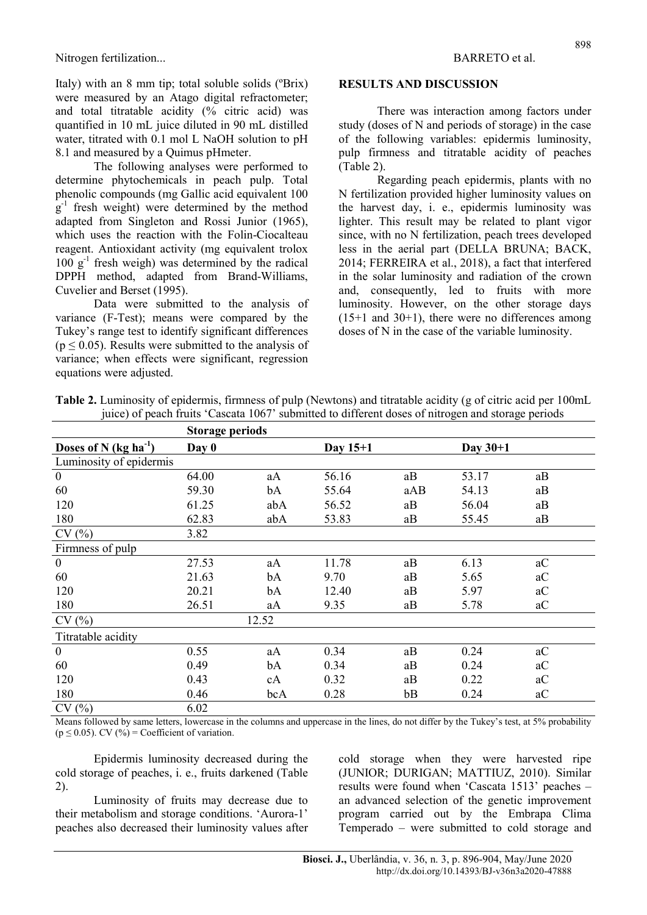Italy) with an 8 mm tip; total soluble solids (ºBrix) were measured by an Atago digital refractometer; and total titratable acidity (% citric acid) was quantified in 10 mL juice diluted in 90 mL distilled water, titrated with 0.1 mol L NaOH solution to pH 8.1 and measured by a Quimus pHmeter.

The following analyses were performed to determine phytochemicals in peach pulp. Total phenolic compounds (mg Gallic acid equivalent 100  $g^{-1}$  fresh weight) were determined by the method adapted from Singleton and Rossi Junior (1965), which uses the reaction with the Folin-Ciocalteau reagent. Antioxidant activity (mg equivalent trolox  $100 \text{ g}^{-1}$  fresh weigh) was determined by the radical DPPH method, adapted from Brand-Williams, Cuvelier and Berset (1995).

Data were submitted to the analysis of variance (F-Test); means were compared by the Tukey's range test to identify significant differences  $(p \le 0.05)$ . Results were submitted to the analysis of variance; when effects were significant, regression equations were adjusted.

### RESULTS AND DISCUSSION

There was interaction among factors under study (doses of N and periods of storage) in the case of the following variables: epidermis luminosity, pulp firmness and titratable acidity of peaches (Table 2).

Regarding peach epidermis, plants with no N fertilization provided higher luminosity values on the harvest day, i. e., epidermis luminosity was lighter. This result may be related to plant vigor since, with no N fertilization, peach trees developed less in the aerial part (DELLA BRUNA; BACK, 2014; FERREIRA et al., 2018), a fact that interfered in the solar luminosity and radiation of the crown and, consequently, led to fruits with more luminosity. However, on the other storage days  $(15+1$  and  $30+1)$ , there were no differences among doses of N in the case of the variable luminosity.

|                           | <b>Storage periods</b> |       |          |     |            |    |
|---------------------------|------------------------|-------|----------|-----|------------|----|
| Doses of N $(kg ha^{-1})$ | Day 0                  |       | Day 15+1 |     | Day $30+1$ |    |
| Luminosity of epidermis   |                        |       |          |     |            |    |
| $\mathbf{0}$              | 64.00                  | aA    | 56.16    | aB  | 53.17      | aB |
| 60                        | 59.30                  | bA    | 55.64    | aAB | 54.13      | aB |
| 120                       | 61.25                  | abA   | 56.52    | aB  | 56.04      | aB |
| 180                       | 62.83                  | abA   | 53.83    | aB  | 55.45      | aB |
| CV(%)                     | 3.82                   |       |          |     |            |    |
| Firmness of pulp          |                        |       |          |     |            |    |
| $\mathbf{0}$              | 27.53                  | aA    | 11.78    | aB  | 6.13       | aC |
| 60                        | 21.63                  | bA    | 9.70     | aB  | 5.65       | aC |
| 120                       | 20.21                  | bA    | 12.40    | aB  | 5.97       | aC |
| 180                       | 26.51                  | aA    | 9.35     | aB  | 5.78       | aC |
| CV(%)                     |                        | 12.52 |          |     |            |    |
| Titratable acidity        |                        |       |          |     |            |    |
| $\mathbf{0}$              | 0.55                   | aA    | 0.34     | aB  | 0.24       | aC |
| 60                        | 0.49                   | bA    | 0.34     | aB  | 0.24       | aC |
| 120                       | 0.43                   | cA    | 0.32     | aB  | 0.22       | aC |
| 180                       | 0.46                   | bcA   | 0.28     | bB  | 0.24       | aC |
| CV(%)                     | 6.02                   |       |          |     |            |    |

Table 2. Luminosity of epidermis, firmness of pulp (Newtons) and titratable acidity (g of citric acid per 100mL juice) of peach fruits 'Cascata 1067' submitted to different doses of nitrogen and storage periods

Means followed by same letters, lowercase in the columns and uppercase in the lines, do not differ by the Tukey's test, at 5% probability  $(p \le 0.05)$ . CV  $(\frac{9}{0})$  = Coefficient of variation.

Epidermis luminosity decreased during the cold storage of peaches, i. e., fruits darkened (Table 2).

Luminosity of fruits may decrease due to their metabolism and storage conditions. 'Aurora-1' peaches also decreased their luminosity values after cold storage when they were harvested ripe (JUNIOR; DURIGAN; MATTIUZ, 2010). Similar results were found when 'Cascata 1513' peaches – an advanced selection of the genetic improvement program carried out by the Embrapa Clima Temperado – were submitted to cold storage and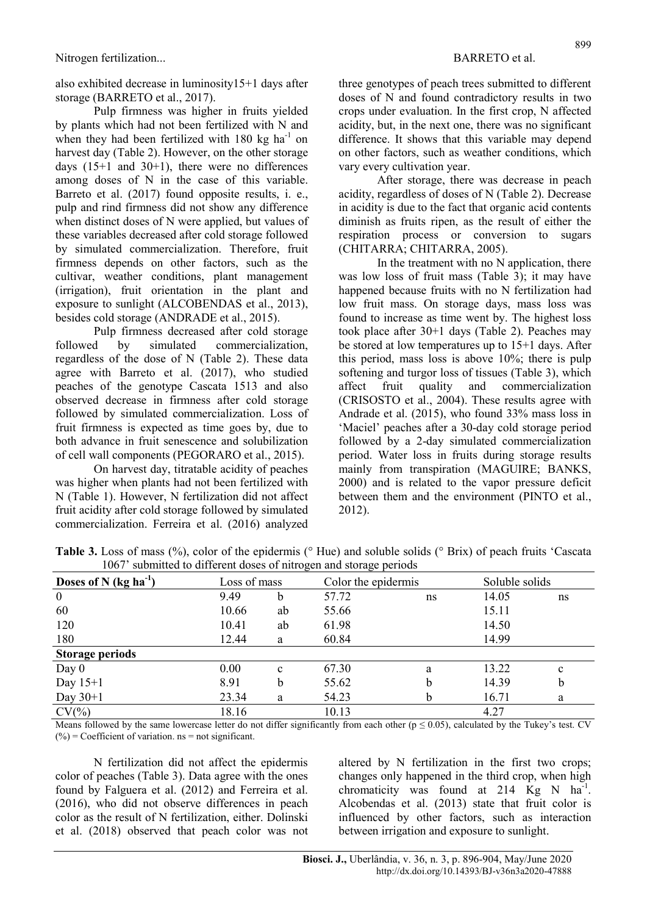also exhibited decrease in luminosity15+1 days after storage (BARRETO et al., 2017).

Pulp firmness was higher in fruits yielded by plants which had not been fertilized with N and when they had been fertilized with  $180 \text{ kg}$  ha<sup>-1</sup> on harvest day (Table 2). However, on the other storage days  $(15+1$  and  $30+1)$ , there were no differences among doses of N in the case of this variable. Barreto et al. (2017) found opposite results, i. e., pulp and rind firmness did not show any difference when distinct doses of N were applied, but values of these variables decreased after cold storage followed by simulated commercialization. Therefore, fruit firmness depends on other factors, such as the cultivar, weather conditions, plant management (irrigation), fruit orientation in the plant and exposure to sunlight (ALCOBENDAS et al., 2013), besides cold storage (ANDRADE et al., 2015).

Pulp firmness decreased after cold storage followed by simulated commercialization, regardless of the dose of N (Table 2). These data agree with Barreto et al. (2017), who studied peaches of the genotype Cascata 1513 and also observed decrease in firmness after cold storage followed by simulated commercialization. Loss of fruit firmness is expected as time goes by, due to both advance in fruit senescence and solubilization of cell wall components (PEGORARO et al., 2015).

On harvest day, titratable acidity of peaches was higher when plants had not been fertilized with N (Table 1). However, N fertilization did not affect fruit acidity after cold storage followed by simulated commercialization. Ferreira et al. (2016) analyzed three genotypes of peach trees submitted to different doses of N and found contradictory results in two crops under evaluation. In the first crop, N affected acidity, but, in the next one, there was no significant difference. It shows that this variable may depend on other factors, such as weather conditions, which vary every cultivation year.

After storage, there was decrease in peach acidity, regardless of doses of N (Table 2). Decrease in acidity is due to the fact that organic acid contents diminish as fruits ripen, as the result of either the respiration process or conversion to sugars (CHITARRA; CHITARRA, 2005).

In the treatment with no N application, there was low loss of fruit mass (Table 3); it may have happened because fruits with no N fertilization had low fruit mass. On storage days, mass loss was found to increase as time went by. The highest loss took place after 30+1 days (Table 2). Peaches may be stored at low temperatures up to 15+1 days. After this period, mass loss is above 10%; there is pulp softening and turgor loss of tissues (Table 3), which affect fruit quality and commercialization (CRISOSTO et al., 2004). These results agree with Andrade et al. (2015), who found 33% mass loss in 'Maciel' peaches after a 30-day cold storage period followed by a 2-day simulated commercialization period. Water loss in fruits during storage results mainly from transpiration (MAGUIRE; BANKS, 2000) and is related to the vapor pressure deficit between them and the environment (PINTO et al., 2012).

| Doses of N $(kg ha^{-1})$ | Loss of mass |              | Color the epidermis |    | Soluble solids |             |
|---------------------------|--------------|--------------|---------------------|----|----------------|-------------|
| $\boldsymbol{0}$          | 9.49         | b            | 57.72               | ns | 14.05          | ns          |
| 60                        | 10.66        | ab           | 55.66               |    | 15.11          |             |
| 120                       | 10.41        | ab           | 61.98               |    | 14.50          |             |
| 180                       | 12.44        | a            | 60.84               |    | 14.99          |             |
| <b>Storage periods</b>    |              |              |                     |    |                |             |
| Day $0$                   | 0.00         | $\mathbf{c}$ | 67.30               | a  | 13.22          | $\mathbf c$ |
| Day $15+1$                | 8.91         | b            | 55.62               | b  | 14.39          | b           |
| Day $30+1$                | 23.34        | a            | 54.23               | b  | 16.71          | a           |
| $CV(\% )$                 | 18.16        |              | 10.13               |    | 4.27           |             |

Table 3. Loss of mass (%), color of the epidermis (° Hue) and soluble solids (° Brix) of peach fruits 'Cascata 1067' submitted to different doses of nitrogen and storage periods

Means followed by the same lowercase letter do not differ significantly from each other ( $p \le 0.05$ ), calculated by the Tukey's test. CV  $(%) = Coefficient of variation.$  ns = not significant.

N fertilization did not affect the epidermis color of peaches (Table 3). Data agree with the ones found by Falguera et al. (2012) and Ferreira et al. (2016), who did not observe differences in peach color as the result of N fertilization, either. Dolinski et al. (2018) observed that peach color was not altered by N fertilization in the first two crops; changes only happened in the third crop, when high chromaticity was found at  $214$  Kg N ha<sup>-1</sup>. Alcobendas et al. (2013) state that fruit color is influenced by other factors, such as interaction between irrigation and exposure to sunlight.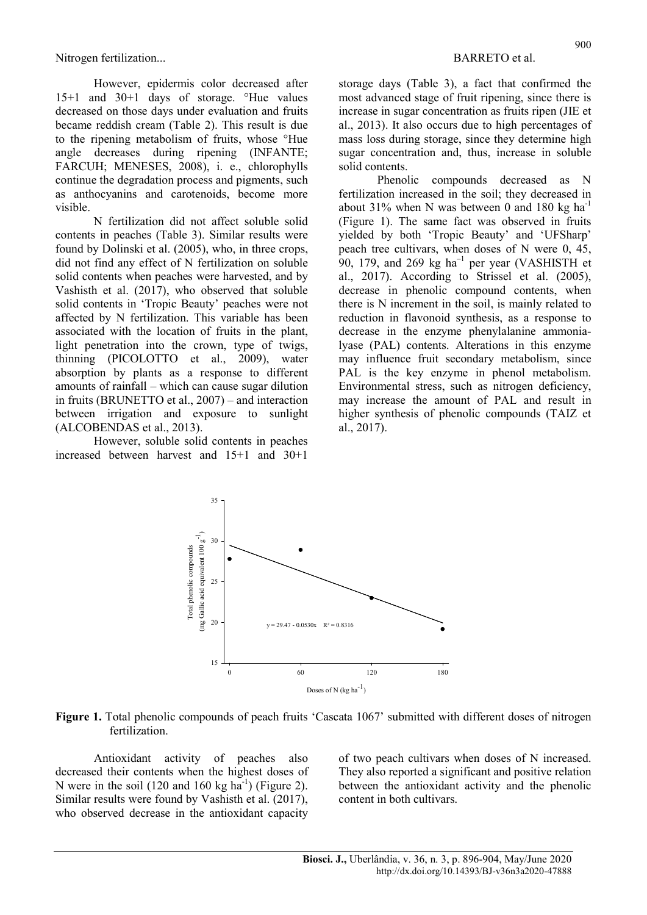However, epidermis color decreased after 15+1 and 30+1 days of storage. °Hue values decreased on those days under evaluation and fruits became reddish cream (Table 2). This result is due to the ripening metabolism of fruits, whose °Hue angle decreases during ripening (INFANTE; FARCUH; MENESES, 2008), i. e., chlorophylls continue the degradation process and pigments, such as anthocyanins and carotenoids, become more visible.

N fertilization did not affect soluble solid contents in peaches (Table 3). Similar results were found by Dolinski et al. (2005), who, in three crops, did not find any effect of N fertilization on soluble solid contents when peaches were harvested, and by Vashisth et al. (2017), who observed that soluble solid contents in 'Tropic Beauty' peaches were not affected by N fertilization. This variable has been associated with the location of fruits in the plant, light penetration into the crown, type of twigs, thinning (PICOLOTTO et al., 2009), water absorption by plants as a response to different amounts of rainfall – which can cause sugar dilution in fruits (BRUNETTO et al., 2007) – and interaction between irrigation and exposure to sunlight (ALCOBENDAS et al., 2013).

However, soluble solid contents in peaches increased between harvest and 15+1 and 30+1

storage days (Table 3), a fact that confirmed the most advanced stage of fruit ripening, since there is increase in sugar concentration as fruits ripen (JIE et al., 2013). It also occurs due to high percentages of mass loss during storage, since they determine high sugar concentration and, thus, increase in soluble solid contents.

Phenolic compounds decreased as N fertilization increased in the soil; they decreased in about 31% when N was between 0 and 180 kg  $ha^{-1}$ (Figure 1). The same fact was observed in fruits yielded by both 'Tropic Beauty' and 'UFSharp' peach tree cultivars, when doses of N were 0, 45,  $90$ , 179, and 269 kg ha<sup>-1</sup> per year (VASHISTH et al., 2017). According to Strissel et al. (2005), decrease in phenolic compound contents, when there is N increment in the soil, is mainly related to reduction in flavonoid synthesis, as a response to decrease in the enzyme phenylalanine ammonialyase (PAL) contents. Alterations in this enzyme may influence fruit secondary metabolism, since PAL is the key enzyme in phenol metabolism. Environmental stress, such as nitrogen deficiency, may increase the amount of PAL and result in higher synthesis of phenolic compounds (TAIZ et al., 2017).



Figure 1. Total phenolic compounds of peach fruits 'Cascata 1067' submitted with different doses of nitrogen fertilization.

Antioxidant activity of peaches also decreased their contents when the highest doses of N were in the soil (120 and 160 kg ha<sup>-1</sup>) (Figure 2). Similar results were found by Vashisth et al. (2017), who observed decrease in the antioxidant capacity of two peach cultivars when doses of N increased. They also reported a significant and positive relation between the antioxidant activity and the phenolic content in both cultivars.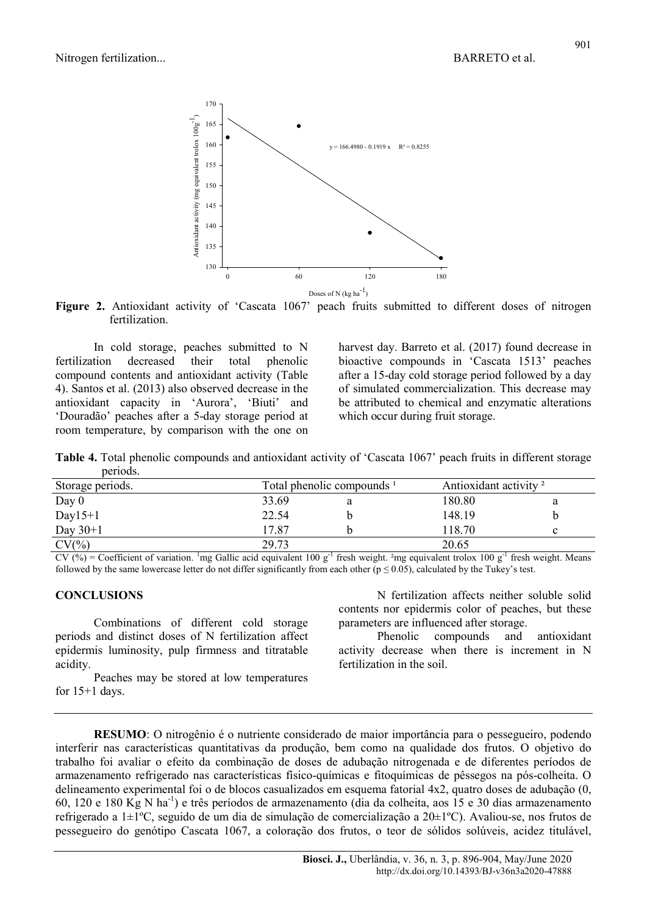

Figure 2. Antioxidant activity of 'Cascata 1067' peach fruits submitted to different doses of nitrogen fertilization.

In cold storage, peaches submitted to N fertilization decreased their total phenolic compound contents and antioxidant activity (Table 4). Santos et al. (2013) also observed decrease in the antioxidant capacity in 'Aurora', 'Biuti' and 'Douradão' peaches after a 5-day storage period at room temperature, by comparison with the one on

harvest day. Barreto et al. (2017) found decrease in bioactive compounds in 'Cascata 1513' peaches after a 15-day cold storage period followed by a day of simulated commercialization. This decrease may be attributed to chemical and enzymatic alterations which occur during fruit storage.

Table 4. Total phenolic compounds and antioxidant activity of 'Cascata 1067' peach fruits in different storage periods.

| Storage periods. |       | Total phenolic compounds <sup>1</sup> | Antioxidant activity <sup>2</sup> |  |  |
|------------------|-------|---------------------------------------|-----------------------------------|--|--|
| Day $0$          | 33.69 |                                       | 180.80                            |  |  |
| Day $15+1$       | 22.54 |                                       | 148.19                            |  |  |
| Day $30+1$       | 17.87 |                                       | 118.70                            |  |  |
| $CV(\%)$         | 29.73 |                                       | 20.65                             |  |  |

CV (%) = Coefficient of variation. <sup>1</sup>mg Gallic acid equivalent 100 g<sup>-1</sup> fresh weight. <sup>2</sup>mg equivalent trolox 100 g<sup>-1</sup> fresh weight. Means followed by the same lowercase letter do not differ significantly from each other ( $p \le 0.05$ ), calculated by the Tukey's test.

### **CONCLUSIONS**

Combinations of different cold storage periods and distinct doses of N fertilization affect epidermis luminosity, pulp firmness and titratable acidity.

Peaches may be stored at low temperatures for  $15+1$  days.

N fertilization affects neither soluble solid contents nor epidermis color of peaches, but these parameters are influenced after storage.

Phenolic compounds and antioxidant activity decrease when there is increment in N fertilization in the soil.

RESUMO: O nitrogênio é o nutriente considerado de maior importância para o pessegueiro, podendo interferir nas características quantitativas da produção, bem como na qualidade dos frutos. O objetivo do trabalho foi avaliar o efeito da combinação de doses de adubação nitrogenada e de diferentes períodos de armazenamento refrigerado nas características físico-químicas e fitoquímicas de pêssegos na pós-colheita. O delineamento experimental foi o de blocos casualizados em esquema fatorial 4x2, quatro doses de adubação (0, 60, 120 e 180 Kg N ha-1) e três períodos de armazenamento (dia da colheita, aos 15 e 30 dias armazenamento refrigerado a 1±1ºC, seguido de um dia de simulação de comercialização a 20±1ºC). Avaliou-se, nos frutos de pessegueiro do genótipo Cascata 1067, a coloração dos frutos, o teor de sólidos solúveis, acidez titulável,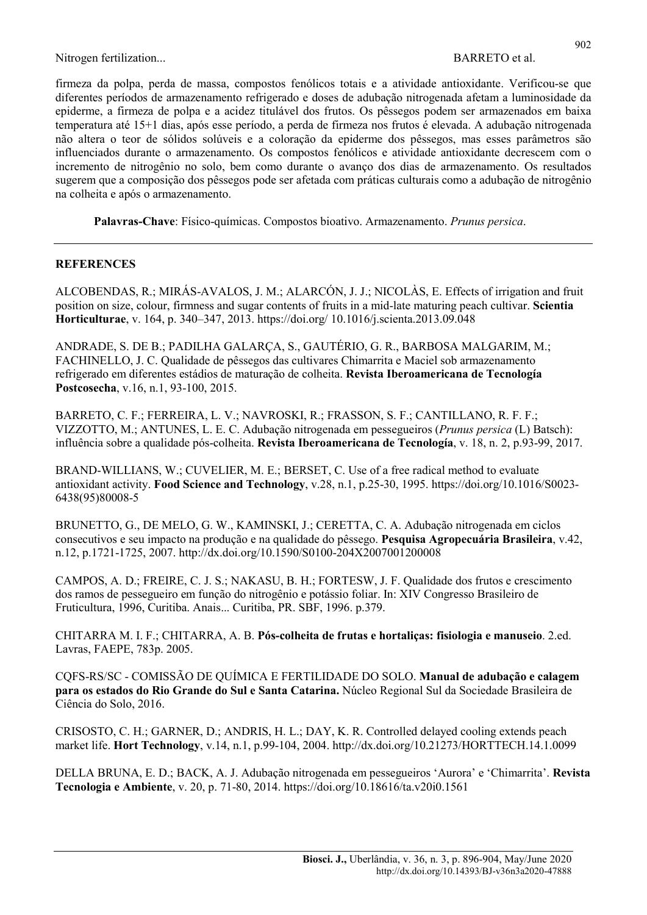firmeza da polpa, perda de massa, compostos fenólicos totais e a atividade antioxidante. Verificou-se que diferentes períodos de armazenamento refrigerado e doses de adubação nitrogenada afetam a luminosidade da epiderme, a firmeza de polpa e a acidez titulável dos frutos. Os pêssegos podem ser armazenados em baixa temperatura até 15+1 dias, após esse período, a perda de firmeza nos frutos é elevada. A adubação nitrogenada não altera o teor de sólidos solúveis e a coloração da epiderme dos pêssegos, mas esses parâmetros são influenciados durante o armazenamento. Os compostos fenólicos e atividade antioxidante decrescem com o incremento de nitrogênio no solo, bem como durante o avanço dos dias de armazenamento. Os resultados sugerem que a composição dos pêssegos pode ser afetada com práticas culturais como a adubação de nitrogênio na colheita e após o armazenamento.

Palavras-Chave: Físico-químicas. Compostos bioativo. Armazenamento. Prunus persica.

### **REFERENCES**

ALCOBENDAS, R.; MIRÁS-AVALOS, J. M.; ALARCÓN, J. J.; NICOLÀS, E. Effects of irrigation and fruit position on size, colour, firmness and sugar contents of fruits in a mid-late maturing peach cultivar. Scientia Horticulturae, v. 164, p. 340–347, 2013. https://doi.org/ 10.1016/j.scienta.2013.09.048

ANDRADE, S. DE B.; PADILHA GALARÇA, S., GAUTÉRIO, G. R., BARBOSA MALGARIM, M.; FACHINELLO, J. C. Qualidade de pêssegos das cultivares Chimarrita e Maciel sob armazenamento refrigerado em diferentes estádios de maturação de colheita. Revista Iberoamericana de Tecnología Postcosecha, v.16, n.1, 93-100, 2015.

BARRETO, C. F.; FERREIRA, L. V.; NAVROSKI, R.; FRASSON, S. F.; CANTILLANO, R. F. F.; VIZZOTTO, M.; ANTUNES, L. E. C. Adubação nitrogenada em pessegueiros (Prunus persica (L) Batsch): influência sobre a qualidade pós-colheita. Revista Iberoamericana de Tecnología, v. 18, n. 2, p.93-99, 2017.

BRAND-WILLIANS, W.; CUVELIER, M. E.; BERSET, C. Use of a free radical method to evaluate antioxidant activity. Food Science and Technology, v.28, n.1, p.25-30, 1995. https://doi.org/10.1016/S0023- 6438(95)80008-5

BRUNETTO, G., DE MELO, G. W., KAMINSKI, J.; CERETTA, C. A. Adubação nitrogenada em ciclos consecutivos e seu impacto na produção e na qualidade do pêssego. Pesquisa Agropecuária Brasileira, v.42, n.12, p.1721-1725, 2007. http://dx.doi.org/10.1590/S0100-204X2007001200008

CAMPOS, A. D.; FREIRE, C. J. S.; NAKASU, B. H.; FORTESW, J. F. Qualidade dos frutos e crescimento dos ramos de pessegueiro em função do nitrogênio e potássio foliar. In: XIV Congresso Brasileiro de Fruticultura, 1996, Curitiba. Anais... Curitiba, PR. SBF, 1996. p.379.

CHITARRA M. I. F.; CHITARRA, A. B. Pós-colheita de frutas e hortaliças: fisiologia e manuseio. 2.ed. Lavras, FAEPE, 783p. 2005.

CQFS-RS/SC - COMISSÃO DE QUÍMICA E FERTILIDADE DO SOLO. Manual de adubação e calagem para os estados do Rio Grande do Sul e Santa Catarina. Núcleo Regional Sul da Sociedade Brasileira de Ciência do Solo, 2016.

CRISOSTO, C. H.; GARNER, D.; ANDRIS, H. L.; DAY, K. R. Controlled delayed cooling extends peach market life. Hort Technology, v.14, n.1, p.99-104, 2004. http://dx.doi.org/10.21273/HORTTECH.14.1.0099

DELLA BRUNA, E. D.; BACK, A. J. Adubação nitrogenada em pessegueiros 'Aurora' e 'Chimarrita'. Revista Tecnologia e Ambiente, v. 20, p. 71-80, 2014. https://doi.org/10.18616/ta.v20i0.1561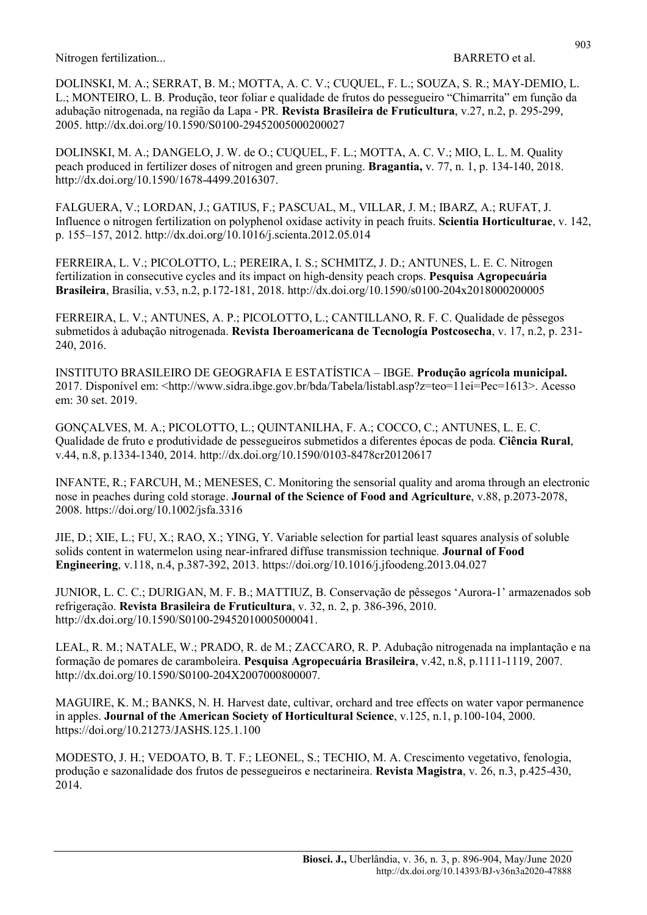DOLINSKI, M. A.; SERRAT, B. M.; MOTTA, A. C. V.; CUQUEL, F. L.; SOUZA, S. R.; MAY-DEMIO, L. L.; MONTEIRO, L. B. Produção, teor foliar e qualidade de frutos do pessegueiro "Chimarrita" em função da adubação nitrogenada, na região da Lapa - PR. Revista Brasileira de Fruticultura, v.27, n.2, p. 295-299, 2005. http://dx.doi.org/10.1590/S0100-29452005000200027

DOLINSKI, M. A.; DANGELO, J. W. de O.; CUQUEL, F. L.; MOTTA, A. C. V.; MIO, L. L. M. Quality peach produced in fertilizer doses of nitrogen and green pruning. Bragantia, v. 77, n. 1, p. 134-140, 2018. http://dx.doi.org/10.1590/1678-4499.2016307.

FALGUERA, V.; LORDAN, J.; GATIUS, F.; PASCUAL, M., VILLAR, J. M.; IBARZ, A.; RUFAT, J. Influence o nitrogen fertilization on polyphenol oxidase activity in peach fruits. Scientia Horticulturae, v. 142, p. 155–157, 2012. http://dx.doi.org/10.1016/j.scienta.2012.05.014

FERREIRA, L. V.; PICOLOTTO, L.; PEREIRA, I. S.; SCHMITZ, J. D.; ANTUNES, L. E. C. Nitrogen fertilization in consecutive cycles and its impact on high-density peach crops. Pesquisa Agropecuária Brasileira, Brasília, v.53, n.2, p.172-181, 2018. http://dx.doi.org/10.1590/s0100-204x2018000200005

FERREIRA, L. V.; ANTUNES, A. P.; PICOLOTTO, L.; CANTILLANO, R. F. C. Qualidade de pêssegos submetidos à adubação nitrogenada. Revista Iberoamericana de Tecnología Postcosecha, v. 17, n.2, p. 231- 240, 2016.

INSTITUTO BRASILEIRO DE GEOGRAFIA E ESTATÍSTICA – IBGE. Produção agrícola municipal. 2017. Disponível em: <http://www.sidra.ibge.gov.br/bda/Tabela/listabl.asp?z=teo=11ei=Pec=1613>. Acesso em: 30 set. 2019.

GONÇALVES, M. A.; PICOLOTTO, L.; QUINTANILHA, F. A.; COCCO, C.; ANTUNES, L. E. C. Qualidade de fruto e produtividade de pessegueiros submetidos a diferentes épocas de poda. Ciência Rural, v.44, n.8, p.1334-1340, 2014. http://dx.doi.org/10.1590/0103-8478cr20120617

INFANTE, R.; FARCUH, M.; MENESES, C. Monitoring the sensorial quality and aroma through an electronic nose in peaches during cold storage. Journal of the Science of Food and Agriculture, v.88, p.2073-2078, 2008. https://doi.org/10.1002/jsfa.3316

JIE, D.; XIE, L.; FU, X.; RAO, X.; YING, Y. Variable selection for partial least squares analysis of soluble solids content in watermelon using near-infrared diffuse transmission technique. Journal of Food Engineering, v.118, n.4, p.387-392, 2013. https://doi.org/10.1016/j.jfoodeng.2013.04.027

JUNIOR, L. C. C.; DURIGAN, M. F. B.; MATTIUZ, B. Conservação de pêssegos 'Aurora-1' armazenados sob refrigeração. Revista Brasileira de Fruticultura, v. 32, n. 2, p. 386-396, 2010. http://dx.doi.org/10.1590/S0100-29452010005000041.

LEAL, R. M.; NATALE, W.; PRADO, R. de M.; ZACCARO, R. P. Adubação nitrogenada na implantação e na formação de pomares de caramboleira. Pesquisa Agropecuária Brasileira, v.42, n.8, p.1111-1119, 2007. http://dx.doi.org/10.1590/S0100-204X2007000800007.

MAGUIRE, K. M.; BANKS, N. H. Harvest date, cultivar, orchard and tree effects on water vapor permanence in apples. Journal of the American Society of Horticultural Science, v.125, n.1, p.100-104, 2000. https://doi.org/10.21273/JASHS.125.1.100

MODESTO, J. H.; VEDOATO, B. T. F.; LEONEL, S.; TECHIO, M. A. Crescimento vegetativo, fenologia, produção e sazonalidade dos frutos de pessegueiros e nectarineira. Revista Magistra, v. 26, n.3, p.425-430, 2014.